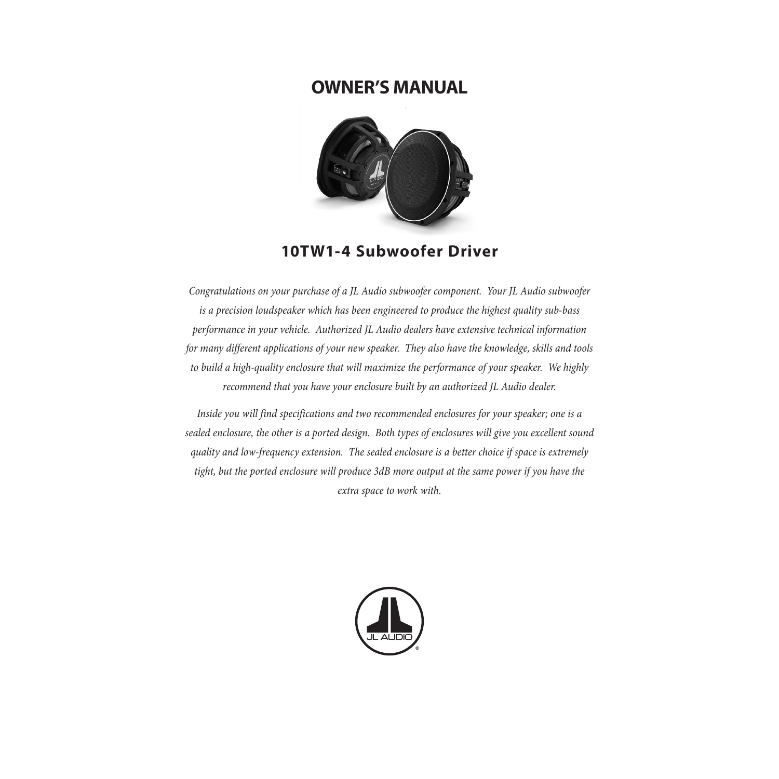# **OWNER'S MANUAL**



# **10TW1-4 Subwoofer Driver**

*Congratulations on your purchase of a JL Audio subwoofer component. Your JL Audio subwoofer is a precision loudspeaker which has been engineered to produce the highest quality sub-bass performance in your vehicle. Authorized JL Audio dealers have extensive technical information for many different applications of your new speaker. They also have the knowledge, skills and tools to build a high-quality enclosure that will maximize the performance of your speaker. We highly recommend that you have your enclosure built by an authorized JL Audio dealer.*

*Inside you will find specifications and two recommended enclosures for your speaker; one is a sealed enclosure, the other is a ported design. Both types of enclosures will give you excellent sound quality and low-frequency extension. The sealed enclosure is a better choice if space is extremely tight, but the ported enclosure will produce 3dB more output at the same power if you have the extra space to work with.*

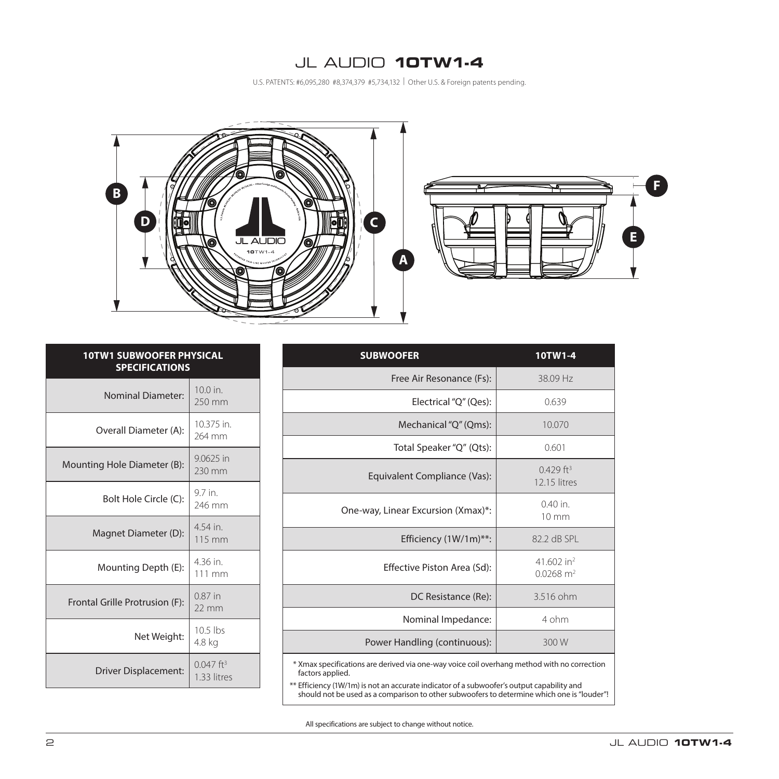## JL AUDIO **10TW1-4**

U.S. PATENTS: #6,095,280 #8,374,379 #5,734,132 | Other U.S. & Foreign patents pending.



| <b>SUBWOOFER</b>                                                                                                                                                                                             | 10TW1-4                                           |  |
|--------------------------------------------------------------------------------------------------------------------------------------------------------------------------------------------------------------|---------------------------------------------------|--|
| Free Air Resonance (Fs):                                                                                                                                                                                     | 38.09 Hz                                          |  |
| Electrical "Q" (Qes):                                                                                                                                                                                        | 0.639                                             |  |
| Mechanical "Q" (Qms):                                                                                                                                                                                        | 10.070                                            |  |
| Total Speaker "Q" (Qts):                                                                                                                                                                                     | 0.601                                             |  |
| Equivalent Compliance (Vas):                                                                                                                                                                                 | $0.429$ ft <sup>3</sup><br>12.15 litres           |  |
| One-way, Linear Excursion (Xmax)*:                                                                                                                                                                           | $040$ in<br>$10 \text{ mm}$                       |  |
| Efficiency (1W/1m)**:                                                                                                                                                                                        | 82.2 dB SPL                                       |  |
| Effective Piston Area (Sd):                                                                                                                                                                                  | 41.602 in <sup>2</sup><br>$0.0268$ m <sup>2</sup> |  |
| DC Resistance (Re):                                                                                                                                                                                          | 3.516 ohm                                         |  |
| Nominal Impedance:                                                                                                                                                                                           | 4 ohm                                             |  |
| Power Handling (continuous):                                                                                                                                                                                 | 300 W                                             |  |
| * Xmax specifications are derived via one-way voice coil overhang method with no correction<br>factors applied.<br>** Efficiency (1W/1m) is not an accurate indicator of a subwoofer's output capability and |                                                   |  |

| Linclency (TW) hill) is not all accurate indicator or a subwooler's output capability and |                                                                                            |
|-------------------------------------------------------------------------------------------|--------------------------------------------------------------------------------------------|
|                                                                                           | should not be used as a comparison to other subwoofers to determine which one is "louder"! |

All specifications are subject to change without notice.

| <b>10TW1 SUBWOOFER PHYSICAL</b><br><b>SPECIFICATIONS</b> |                                        |  |  |
|----------------------------------------------------------|----------------------------------------|--|--|
| <b>Nominal Diameter:</b>                                 | $10.0$ in.<br>250 mm                   |  |  |
| Overall Diameter (A):                                    | 10.375 in.<br>264 mm                   |  |  |
| Mounting Hole Diameter (B):                              | 9.0625 in<br>230 mm                    |  |  |
| Bolt Hole Circle (C):                                    | 9.7 in.<br>246 mm                      |  |  |
| Magnet Diameter (D):                                     | 4.54 in.<br>115 mm                     |  |  |
| Mounting Depth (E):                                      | 4.36 in.<br>111 mm                     |  |  |
| Frontal Grille Protrusion (F):                           | $0.87$ in<br>$22 \text{ mm}$           |  |  |
| Net Weight:                                              | $10.5$ lbs<br>4.8 kg                   |  |  |
| Driver Displacement:                                     | $0.047$ ft <sup>3</sup><br>1.33 litres |  |  |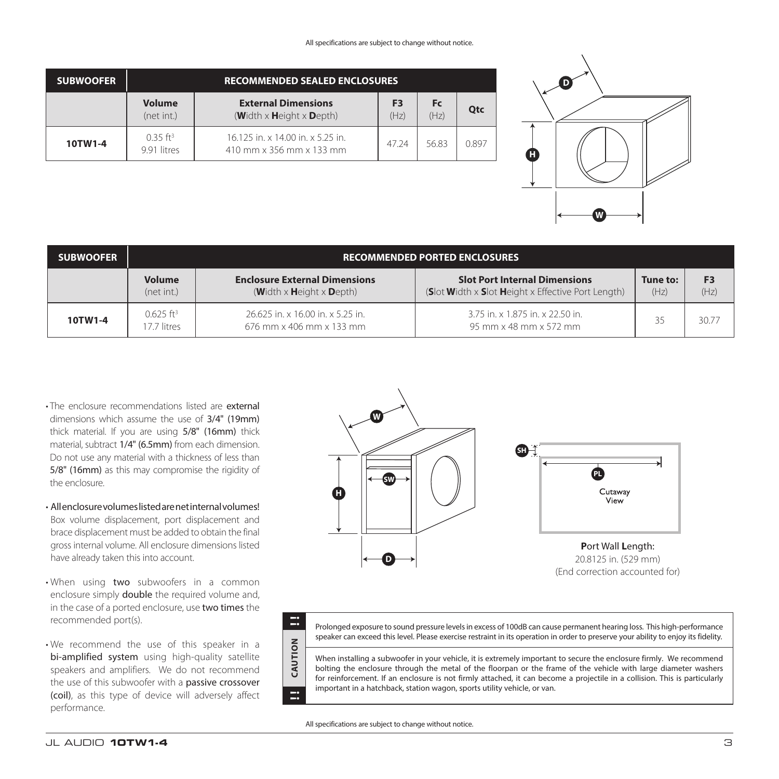#### All specifications are subject to change without notice.

| <b>SUBWOOFER</b> | <b>RECOMMENDED SEALED ENCLOSURES</b>  |                                                                                         |                        |                   |            |
|------------------|---------------------------------------|-----------------------------------------------------------------------------------------|------------------------|-------------------|------------|
|                  | <b>Volume</b><br>(net int.)           | <b>External Dimensions</b><br>$(\text{Width} \times \text{Height} \times \text{Depth})$ | F <sub>3</sub><br>(Hz) | <b>Fc</b><br>(Hz) | <b>Otc</b> |
| 10TW1-4          | $0.35$ ft <sup>3</sup><br>9.91 litres | 16.125 in. x 14.00 in. x 5.25 in.<br>410 mm x 356 mm x 133 mm                           | 47 24                  | 56.83             | 0.897      |



| <b>SUBWOOFER</b> | <b>RECOMMENDED PORTED ENCLOSURES</b>  |                                                                                |                                                                                                          |                  |                        |
|------------------|---------------------------------------|--------------------------------------------------------------------------------|----------------------------------------------------------------------------------------------------------|------------------|------------------------|
|                  | <b>Volume</b><br>(net int.)           | <b>Enclosure External Dimensions</b><br>(Width $\times$ Height $\times$ Depth) | <b>Slot Port Internal Dimensions</b><br>(Slot Width $\times$ Slot Height $\times$ Effective Port Length) | Tune to:<br>(Hz) | F <sub>3</sub><br>(Hz) |
| 10TW1-4          | $0.625$ ft <sup>3</sup><br>7.7 litres | 26.625 in. x 16.00 in. x 5.25 in.<br>676 mm x 406 mm x 133 mm                  | 3.75 in. x 1.875 in. x 22.50 in.<br>95 mm x 48 mm x 572 mm                                               | 35               | 30.77                  |

- The enclosure recommendations listed are external dimensions which assume the use of 3/4" (19mm) thick material. If you are using 5/8" (16mm) thick material, subtract 1/4" (6.5mm) from each dimension. Do not use any material with a thickness of less than 5/8" (16mm) as this may compromise the rigidity of the enclosure.
- All enclosure volumes listed are net internal volumes! Box volume displacement, port displacement and brace displacement must be added to obtain the final gross internal volume. All enclosure dimensions listed have already taken this into account.
- When using two subwoofers in a common enclosure simply double the required volume and, in the case of a ported enclosure, use two times the recommended port(s).
- We recommend the use of this speaker in a bi-amplified system using high-quality satellite speakers and amplifiers. We do not recommend the use of this subwoofer with a passive crossover (coil), as this type of device will adversely affect performance.





Ξ

Prolonged exposure to sound pressure levels in excess of 100dB can cause permanent hearing loss. This high-performance speaker can exceed this level. Please exercise restraint in its operation in order to preserve your ability to enjoy its fidelity.

When installing a subwoofer in your vehicle, it is extremely important to secure the enclosure firmly. We recommend bolting the enclosure through the metal of the floorpan or the frame of the vehicle with large diameter washers for reinforcement. If an enclosure is not firmly attached, it can become a projectile in a collision. This is particularly important in a hatchback, station wagon, sports utility vehicle, or van.

All specifications are subject to change without notice.